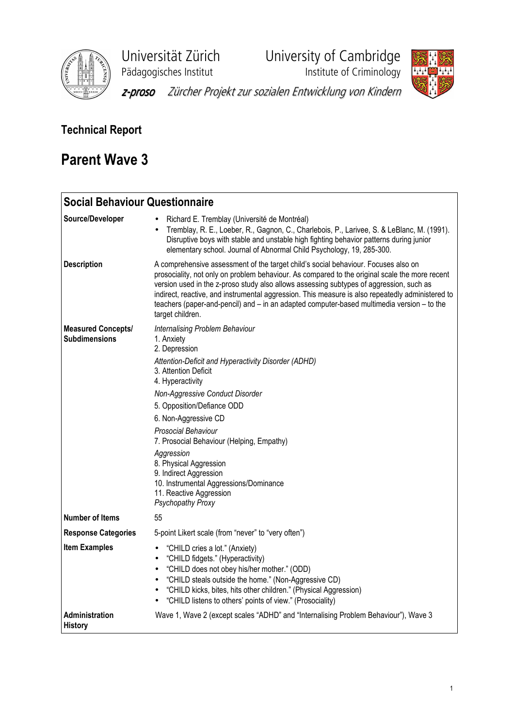

Universität Zürich University of Cambridge

Pädagogisches Institut **Institute institute of Criminology** 



z-proso Zürcher Projekt zur sozialen Entwicklung von Kindern

# Technical Report

# Parent Wave 3

| <b>Social Behaviour Questionnaire</b>             |                                                                                                                                                                                                                                                                                                                                                                                                                                                                                                       |
|---------------------------------------------------|-------------------------------------------------------------------------------------------------------------------------------------------------------------------------------------------------------------------------------------------------------------------------------------------------------------------------------------------------------------------------------------------------------------------------------------------------------------------------------------------------------|
| Source/Developer                                  | Richard E. Tremblay (Université de Montréal)<br>Tremblay, R. E., Loeber, R., Gagnon, C., Charlebois, P., Larivee, S. & LeBlanc, M. (1991).<br>Disruptive boys with stable and unstable high fighting behavior patterns during junior<br>elementary school. Journal of Abnormal Child Psychology, 19, 285-300.                                                                                                                                                                                         |
| <b>Description</b>                                | A comprehensive assessment of the target child's social behaviour. Focuses also on<br>prosociality, not only on problem behaviour. As compared to the original scale the more recent<br>version used in the z-proso study also allows assessing subtypes of aggression, such as<br>indirect, reactive, and instrumental aggression. This measure is also repeatedly administered to<br>teachers (paper-and-pencil) and - in an adapted computer-based multimedia version - to the<br>target children. |
| <b>Measured Concepts/</b><br><b>Subdimensions</b> | Internalising Problem Behaviour<br>1. Anxiety<br>2. Depression<br>Attention-Deficit and Hyperactivity Disorder (ADHD)<br>3. Attention Deficit<br>4. Hyperactivity<br>Non-Aggressive Conduct Disorder<br>5. Opposition/Defiance ODD<br>6. Non-Aggressive CD<br>Prosocial Behaviour<br>7. Prosocial Behaviour (Helping, Empathy)<br>Aggression<br>8. Physical Aggression<br>9. Indirect Aggression<br>10. Instrumental Aggressions/Dominance<br>11. Reactive Aggression<br>Psychopathy Proxy            |
| <b>Number of Items</b>                            | 55                                                                                                                                                                                                                                                                                                                                                                                                                                                                                                    |
| <b>Response Categories</b>                        | 5-point Likert scale (from "never" to "very often")                                                                                                                                                                                                                                                                                                                                                                                                                                                   |
| <b>Item Examples</b>                              | "CHILD cries a lot." (Anxiety)<br>$\bullet$<br>"CHILD fidgets." (Hyperactivity)<br>$\bullet$<br>"CHILD does not obey his/her mother." (ODD)<br>$\bullet$<br>"CHILD steals outside the home." (Non-Aggressive CD)<br>$\bullet$<br>"CHILD kicks, bites, hits other children." (Physical Aggression)<br>"CHILD listens to others' points of view." (Prosociality)                                                                                                                                        |
| Administration<br><b>History</b>                  | Wave 1, Wave 2 (except scales "ADHD" and "Internalising Problem Behaviour"), Wave 3                                                                                                                                                                                                                                                                                                                                                                                                                   |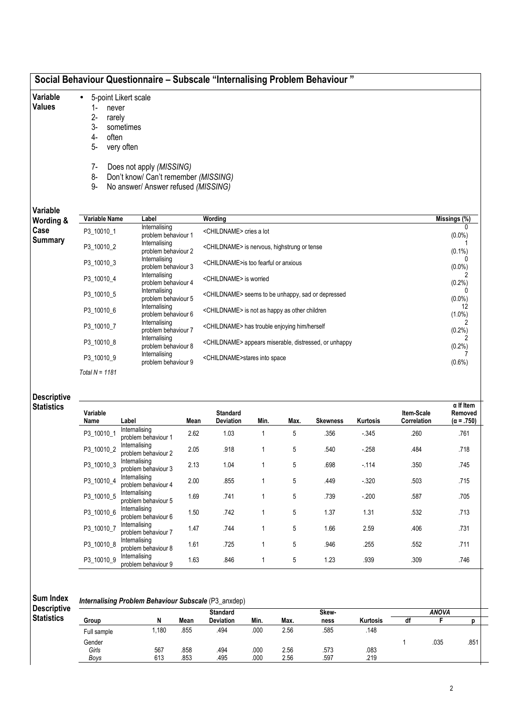# Social Behaviour Questionnaire – Subscale "Internalising Problem Behaviour "

- 5-point Likert scale
- Variable Values
- 1- never 2- rarely
- 3- sometimes
- 4- often
- 5- very often
- 
- 7- Does not apply (MISSING)
- 8- Don't know/ Can't remember (MISSING)
- 9- No answer/ Answer refused (MISSING)

## Variable

| Variable<br>Wording & | Variable Name    | Label                                | Wording                                                           | Missings (%)    |
|-----------------------|------------------|--------------------------------------|-------------------------------------------------------------------|-----------------|
| Case                  | P3 10010 1       | Internalising<br>problem behaviour 1 | <childname> cries a lot</childname>                               | $(0.0\%)$       |
| <b>Summary</b>        | P3 10010 2       | Internalising<br>problem behaviour 2 | <childname> is nervous, highstrung or tense</childname>           | $(0.1\%)$       |
|                       | P3 10010 3       | Internalising<br>problem behaviour 3 | <childname>is too fearful or anxious</childname>                  | $(0.0\%)$       |
|                       | P3 10010 4       | Internalising<br>problem behaviour 4 | <childname> is worried</childname>                                | (0.2%           |
|                       | P3 10010 5       | Internalising<br>problem behaviour 5 | <childname> seems to be unhappy, sad or depressed</childname>     | $(0.0\%)$       |
|                       | P3 10010 6       | Internalising<br>problem behaviour 6 | <childname> is not as happy as other children</childname>         | 12<br>$(1.0\%)$ |
|                       | P3 10010 7       | Internalising<br>problem behaviour 7 | <childname> has trouble enjoying him/herself</childname>          | (0.2%           |
|                       | P3 10010 8       | Internalising<br>problem behaviour 8 | <childname> appears miserable, distressed, or unhappy</childname> | (0.2%           |
|                       | P3 10010 9       | Internalising<br>problem behaviour 9 | <childname>stares into space</childname>                          | $(0.6\%)$       |
|                       | Total $N = 1181$ |                                      |                                                                   |                 |

#### Descriptive **Statistics**

| Variable   |                                      |      | <b>Standard</b>  |      |      |                 |                 | Item-Scale  | $\alpha$ If Item<br>Removed |
|------------|--------------------------------------|------|------------------|------|------|-----------------|-----------------|-------------|-----------------------------|
| Name       | Label                                | Mean | <b>Deviation</b> | Min. | Max. | <b>Skewness</b> | <b>Kurtosis</b> | Correlation | $(\alpha = .750)$           |
| P3_10010_1 | Internalising<br>problem behaviour 1 | 2.62 | 1.03             |      | 5    | .356            | $-0.345$        | .260        | .761                        |
| P3_10010_2 | Internalising<br>problem behaviour 2 | 2.05 | .918             |      | 5    | .540            | $-258$          | .484        | .718                        |
| P3_10010_3 | Internalising<br>problem behaviour 3 | 2.13 | 1.04             |      | 5    | .698            | $-114$          | .350        | .745                        |
| P3_10010_4 | Internalising<br>problem behaviour 4 | 2.00 | .855             |      | 5    | .449            | $-320$          | .503        | .715                        |
| P3_10010_5 | Internalising<br>problem behaviour 5 | 1.69 | .741             |      | 5    | .739            | $-200$          | .587        | .705                        |
| P3_10010_6 | Internalising<br>problem behaviour 6 | 1.50 | .742             |      | 5    | 1.37            | 1.31            | .532        | .713                        |
| P3 10010 7 | Internalising<br>problem behaviour 7 | 1.47 | .744             |      | 5    | 1.66            | 2.59            | .406        | .731                        |
| P3 10010 8 | Internalising<br>problem behaviour 8 | 1.61 | .725             |      | 5    | .946            | .255            | .552        | .711                        |
| P3_10010_9 | Internalising<br>problem behaviour 9 | 1.63 | .846             |      | 5    | 1.23            | .939            | .309        | .746                        |

|                    | <b>INCRUPTION CONTROL DELIGYIOUI SUDSCATE</b> (F3 AUXUED) |      |      |                  |      |      |       |                 |    |       |      |  |
|--------------------|-----------------------------------------------------------|------|------|------------------|------|------|-------|-----------------|----|-------|------|--|
| <b>Descriptive</b> |                                                           |      |      | Standard         |      |      | Skew- |                 |    | ANOVA |      |  |
| <b>Statistics</b>  | Group                                                     |      | Mean | <b>Deviation</b> | Min. | Max. | ness  | <b>Kurtosis</b> | df |       |      |  |
|                    | Full sample                                               | .180 | .855 | .494             | .000 | 2.56 | .585  | .148            |    |       |      |  |
|                    | Gender                                                    |      |      |                  |      |      |       |                 |    | .035  | .851 |  |
|                    | Girls                                                     | 567  | .858 | .494             | .000 | 2.56 | .573  | .083            |    |       |      |  |
|                    | Boys                                                      | 613  | .853 | .495             | .000 | 2.56 | .597  | .219            |    |       |      |  |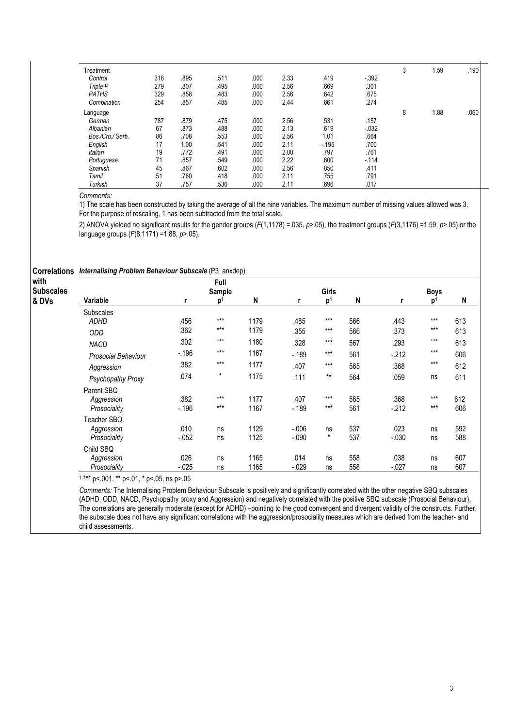| Treatment        |     |      |      |      |      |        |          | 3 | 1.59 | .190 |  |
|------------------|-----|------|------|------|------|--------|----------|---|------|------|--|
| Control          | 318 | .895 | .511 | .000 | 2.33 | .419   | $-0.392$ |   |      |      |  |
| Triple P         | 279 | .807 | .495 | .000 | 2.56 | .669   | .301     |   |      |      |  |
| <b>PATHS</b>     | 329 | .858 | .483 | .000 | 2.56 | .642   | .675     |   |      |      |  |
| Combination      | 254 | .857 | .485 | .000 | 2.44 | .661   | .274     |   |      |      |  |
| Language         |     |      |      |      |      |        |          | 8 | 1.88 | .060 |  |
| German           | 787 | .879 | .475 | .000 | 2.56 | .531   | .157     |   |      |      |  |
| Albanian         | 67  | .873 | .488 | .000 | 2.13 | .619   | $-032$   |   |      |      |  |
| Bos./Cro./ Serb. | 86  | .708 | .553 | .000 | 2.56 | 1.01   | .664     |   |      |      |  |
| English          | 17  | 1.00 | .541 | .000 | 2.11 | $-195$ | .700     |   |      |      |  |
| <b>Italian</b>   | 19  | .772 | .491 | .000 | 2.00 | .797   | .761     |   |      |      |  |
| Portuguese       | 71  | .857 | .549 | .000 | 2.22 | .600   | $-114$   |   |      |      |  |
| Spanish          | 45  | .867 | .602 | .000 | 2.56 | .856   | .411     |   |      |      |  |
| Tamil            | 51  | .760 | .418 | .000 | 2.11 | .755   | .791     |   |      |      |  |
| Turkish          | 37  | .757 | .536 | .000 | 2.11 | 696    | .017     |   |      |      |  |
|                  |     |      |      |      |      |        |          |   |      |      |  |

1) The scale has been constructed by taking the average of all the nine variables. The maximum number of missing values allowed was 3. For the purpose of rescaling, 1 has been subtracted from the total scale.

2) ANOVA yielded no significant results for the gender groups (F(1,1178) = 0.035, p>.05), the treatment groups (F(3,1176) =1.59, p>.05) or the language groups  $(F(8,1171) = 1.88, p > .05)$ .

Correlations Internalising Problem Behaviour Subscale (P3\_anxdep)

| with             |                            |          |                |      |          |                |     |          |                |     |
|------------------|----------------------------|----------|----------------|------|----------|----------------|-----|----------|----------------|-----|
| <b>Subscales</b> |                            |          | Full<br>Sample |      |          | <b>Girls</b>   |     |          | <b>Boys</b>    |     |
| & DVs            | Variable                   |          | p <sup>1</sup> | N    |          | p <sup>1</sup> | N   |          | p <sup>1</sup> | N   |
|                  | <b>Subscales</b>           |          |                |      |          |                |     |          |                |     |
|                  | ADHD                       | .456     | $***$          | 1179 | .485     | $***$          | 566 | .443     | $***$          | 613 |
|                  | <b>ODD</b>                 | .362     | $***$          | 1179 | .355     | $***$          | 566 | .373     | $***$          | 613 |
|                  | <b>NACD</b>                | .302     | $***$          | 1180 | .328     | $***$          | 567 | .293     | $***$          | 613 |
|                  | <b>Prosocial Behaviour</b> | $-.196$  | $***$          | 1167 | $-189$   | $***$          | 561 | $-212$   | $***$          | 606 |
|                  | Aggression                 | .382     | $***$          | 1177 | .407     | $***$          | 565 | .368     | $***$          | 612 |
|                  | Psychopathy Proxy          | .074     | $\star$        | 1175 | .111     | $***$          | 564 | .059     | ns             | 611 |
|                  | Parent SBQ                 |          |                |      |          |                |     |          |                |     |
|                  | Aggression                 | .382     | $***$          | 1177 | .407     | $***$          | 565 | .368     | $***$          | 612 |
|                  | Prosociality               | $-196$   | $***$          | 1167 | $-189$   | $***$          | 561 | $-212$   | $***$          | 606 |
|                  | Teacher SBQ                |          |                |      |          |                |     |          |                |     |
|                  | Aggression                 | .010     | ns             | 1129 | $-0.006$ | ns             | 537 | .023     | ns             | 592 |
|                  | Prosociality               | $-0.052$ | ns             | 1125 | $-.090$  | $\star$        | 537 | $-0.30$  | ns             | 588 |
|                  | Child SBQ                  |          |                |      |          |                |     |          |                |     |
|                  | Aggression                 | .026     | ns             | 1165 | .014     | ns             | 558 | .038     | ns             | 607 |
|                  | Prosociality               | $-0.025$ | ns             | 1165 | $-.029$  | ns             | 558 | $-0.027$ | ns             | 607 |

1 \*\*\* p<.001, \*\* p<.01, \* p<.05, ns p>.05

Comments: The Internalising Problem Behaviour Subscale is positively and significantly correlated with the other negative SBQ subscales (ADHD, ODD, NACD, Psychopathy proxy and Aggression) and negatively correlated with the positive SBQ subscale (Prosocial Behaviour). The correlations are generally moderate (except for ADHD) –pointing to the good convergent and divergent validity of the constructs. Further, the subscale does not have any significant correlations with the aggression/prosociality measures which are derived from the teacher- and child assessments.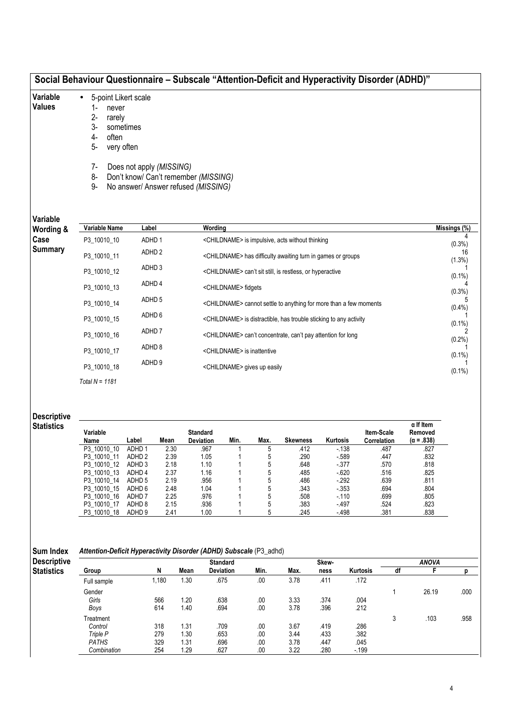|                                         | Social Behaviour Questionnaire - Subscale "Attention-Deficit and Hyperactivity Disorder (ADHD)"                                     |                                        |              |                                                                             |                                                                         |                                         |                                                                               |                  |                           |                                                  |              |  |
|-----------------------------------------|-------------------------------------------------------------------------------------------------------------------------------------|----------------------------------------|--------------|-----------------------------------------------------------------------------|-------------------------------------------------------------------------|-----------------------------------------|-------------------------------------------------------------------------------|------------------|---------------------------|--------------------------------------------------|--------------|--|
| Variable<br><b>Values</b>               | 5-point Likert scale<br>$\bullet$<br>$1 -$<br>never<br>$2 -$<br>rarely<br>3-<br>often<br>4-<br>5-<br>very often<br>$7-$<br>8-<br>9- | sometimes<br>Does not apply (MISSING)  |              | Don't know/ Can't remember (MISSING)<br>No answer/ Answer refused (MISSING) |                                                                         |                                         |                                                                               |                  |                           |                                                  |              |  |
| Variable<br>Wording &                   | Variable Name                                                                                                                       | Label                                  |              | <b>Wording</b>                                                              |                                                                         |                                         |                                                                               |                  |                           |                                                  | Missings (%) |  |
| Case                                    | P3_10010_10                                                                                                                         | ADHD <sub>1</sub>                      |              |                                                                             |                                                                         |                                         | <childname> is impulsive, acts without thinking</childname>                   |                  |                           |                                                  | $(0.3\%)$    |  |
| <b>Summary</b>                          | P3_10010_11                                                                                                                         | ADHD <sub>2</sub>                      |              |                                                                             | <childname> has difficulty awaiting turn in games or groups</childname> |                                         |                                                                               |                  |                           |                                                  |              |  |
|                                         | P3_10010_12                                                                                                                         | ADHD <sub>3</sub>                      |              |                                                                             | <childname> can't sit still, is restless, or hyperactive</childname>    |                                         |                                                                               |                  |                           |                                                  |              |  |
|                                         | P3_10010_13                                                                                                                         | ADHD 4                                 |              |                                                                             | <childname> fidgets</childname>                                         |                                         |                                                                               |                  |                           |                                                  |              |  |
|                                         | P3_10010_14                                                                                                                         | ADHD <sub>5</sub>                      |              |                                                                             |                                                                         |                                         | <childname> cannot settle to anything for more than a few moments</childname> |                  |                           |                                                  |              |  |
|                                         |                                                                                                                                     | ADHD 6                                 |              |                                                                             |                                                                         |                                         | (0.4% )                                                                       |                  |                           |                                                  |              |  |
|                                         | P3_10010_15                                                                                                                         |                                        |              |                                                                             |                                                                         |                                         | <childname> is distractible, has trouble sticking to any activity</childname> |                  |                           |                                                  | $(0.1\%)$    |  |
|                                         | P3_10010_16                                                                                                                         | ADHD <sub>7</sub>                      |              |                                                                             |                                                                         |                                         | <childname> can't concentrate, can't pay attention for long</childname>       |                  |                           |                                                  | (0.2%)       |  |
|                                         | P3_10010_17                                                                                                                         | ADHD <sub>8</sub>                      |              |                                                                             | <childname> is inattentive</childname>                                  |                                         |                                                                               |                  |                           |                                                  | $(0.1\%)$    |  |
|                                         | P3_10010_18                                                                                                                         | ADHD <sub>9</sub>                      |              |                                                                             |                                                                         | <childname> gives up easily</childname> |                                                                               |                  |                           |                                                  | $(0.1\%)$    |  |
|                                         | Total $N = 1181$                                                                                                                    |                                        |              |                                                                             |                                                                         |                                         |                                                                               |                  |                           |                                                  |              |  |
| <b>Descriptive</b><br><b>Statistics</b> | Variable<br>Name                                                                                                                    | Label                                  | Mean         | <b>Standard</b><br><b>Deviation</b>                                         | Min.                                                                    | Max.                                    | <b>Skewness</b>                                                               | Kurtosis         | Item-Scale<br>Correlation | $\alpha$ If Item<br>Removed<br>$(\alpha = .838)$ |              |  |
|                                         | P3_10010_10                                                                                                                         | ADHD <sub>1</sub>                      | 2.30         | .967                                                                        | 1                                                                       | 5                                       | .412                                                                          | $-138$           | .487                      | .827                                             |              |  |
|                                         | P3 10010 11<br>P3_10010_12                                                                                                          | ADHD <sub>2</sub><br>ADHD <sub>3</sub> | 2.39<br>2.18 | 1.05<br>1.10                                                                | 1<br>1                                                                  | 5<br>5                                  | .290<br>.648                                                                  | $-589$<br>$-377$ | .447<br>.570              | .832<br>.818                                     |              |  |
|                                         | P3 10010 13                                                                                                                         | ADHD 4                                 | 2.37         | 1.16                                                                        |                                                                         | 5                                       | .485                                                                          | $-620$           | .516                      | .825                                             |              |  |
|                                         | P3_10010_14                                                                                                                         | ADHD <sub>5</sub>                      | 2.19         | .956                                                                        | 1                                                                       | 5                                       | .486                                                                          | $-292$           | .639                      | .811                                             |              |  |
|                                         | P3_10010_15                                                                                                                         | ADHD 6                                 | 2.48         | 1.04                                                                        | 1                                                                       | 5                                       | .343                                                                          | $-0.353$         | .694                      | .804                                             |              |  |

Sum Index Des

Attention-Deficit Hyperactivity Disorder (ADHD) Subscale (P3\_adhd)

| <b>Descriptive</b> |              |      |      | <b>Standard</b>  |      |      | Skew- |          |    | <b>ANOVA</b> |      |
|--------------------|--------------|------|------|------------------|------|------|-------|----------|----|--------------|------|
| <b>Statistics</b>  | Group        | N    | Mean | <b>Deviation</b> | Min. | Max. | ness  | Kurtosis | df |              |      |
|                    | Full sample  | .180 | 1.30 | .675             | .00  | 3.78 | .411  | .172     |    |              |      |
|                    | Gender       |      |      |                  |      |      |       |          |    | 26.19        | .000 |
|                    | Girls        | 566  | 1.20 | .638             | .00  | 3.33 | .374  | .004     |    |              |      |
|                    | Boys         | 614  | 1.40 | .694             | .00  | 3.78 | .396  | .212     |    |              |      |
|                    | Treatment    |      |      |                  |      |      |       |          |    | .103         | .958 |
|                    | Control      | 318  | 1.31 | .709             | .00  | 3.67 | .419  | .286     |    |              |      |
|                    | Triple P     | 279  | 1.30 | .653             | .00  | 3.44 | .433  | .382     |    |              |      |
|                    | <b>PATHS</b> | 329  | 1.31 | .696             | .00  | 3.78 | .447  | .045     |    |              |      |
|                    | Combination  | 254  | 1.29 | .627             | .00  | 3.22 | .280  | $-199$   |    |              |      |

P3\_10010\_16 ADHD 7 2.25 .976 1 5 .508 -.110 .699 .805 P3\_10010\_17 ADHD 8 2.15 .936 1 5 .383 -.497 .524 .823 P3\_10010\_18 ADHD 9 2.41 1.00 1 5 .245 -.498 .381 .838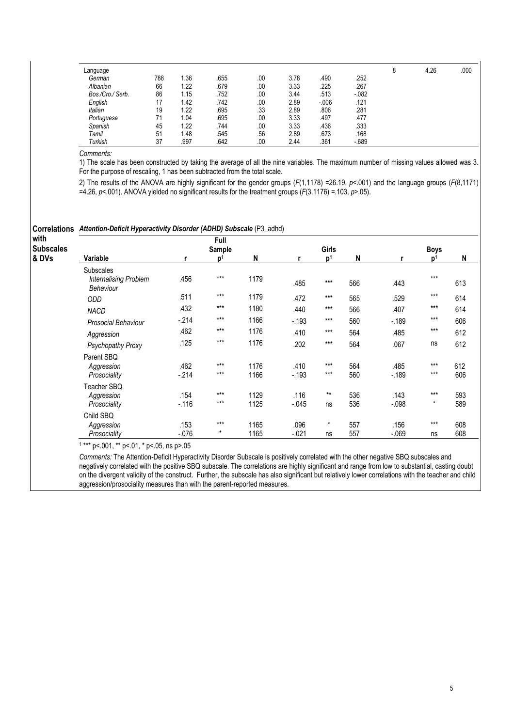| Language         |     |      |      |     |      |          |        | 4.26 | .000 |
|------------------|-----|------|------|-----|------|----------|--------|------|------|
| German           | 788 | 1.36 | .655 | .00 | 3.78 | .490     | .252   |      |      |
| Albanian         | 66  | 1.22 | .679 | .00 | 3.33 | .225     | .267   |      |      |
| Bos./Cro./ Serb. | 86  | 1.15 | .752 | .00 | 3.44 | .513     | $-082$ |      |      |
| English          | 17  | 1.42 | .742 | .00 | 2.89 | $-0.006$ | .121   |      |      |
| Italian          | 19  | 1.22 | .695 | .33 | 2.89 | .806     | .281   |      |      |
| Portuguese       | 71  | 1.04 | .695 | .00 | 3.33 | .497     | .477   |      |      |
| Spanish          | 45  | 1.22 | .744 | .00 | 3.33 | .436     | .333   |      |      |
| Tamil            | 51  | 1.48 | .545 | .56 | 2.89 | .673     | .168   |      |      |
| Turkish          | 37  | .997 | .642 | .00 | 2.44 | .361     | $-689$ |      |      |

1) The scale has been constructed by taking the average of all the nine variables. The maximum number of missing values allowed was 3. For the purpose of rescaling, 1 has been subtracted from the total scale.

2) The results of the ANOVA are highly significant for the gender groups (F(1,1178) =26.19, p<.001) and the language groups (F(8,1171) =4.26,  $p$ <.001). ANOVA yielded no significant results for the treatment groups ( $F(3,1176) = .103$ ,  $p > .05$ ).

Correlations Attention-Deficit Hyperactivity Disorder (ADHD) Subscale (P3\_adhd)

| with<br><b>Subscales</b> |                                                  |          | Full<br>Sample |      |         | Girls          |     |          | <b>Boys</b>    |     |
|--------------------------|--------------------------------------------------|----------|----------------|------|---------|----------------|-----|----------|----------------|-----|
| & DVs                    | Variable                                         |          | p <sup>1</sup> | N    |         | p <sup>1</sup> | N   |          | n <sup>1</sup> | N   |
|                          | <b>Subscales</b><br><b>Internalising Problem</b> | .456     | $***$          | 1179 | .485    | $***$          | 566 | .443     | $***$          | 613 |
|                          | Behaviour<br>ODD                                 | .511     | $***$          | 1179 | .472    | $***$          | 565 | .529     | $***$          | 614 |
|                          | <b>NACD</b>                                      | .432     | $***$          | 1180 | .440    | $***$          | 566 | .407     | $***$          | 614 |
|                          | Prosocial Behaviour                              | $-214$   | $***$          | 1166 | $-.193$ | $***$          | 560 | $-189$   | $***$          | 606 |
|                          | Aggression                                       | .462     | $***$          | 1176 | .410    | $***$          | 564 | .485     | $***$          | 612 |
|                          | <b>Psychopathy Proxy</b>                         | .125     | $***$          | 1176 | .202    | $***$          | 564 | .067     | ns             | 612 |
|                          | Parent SBQ                                       |          |                |      |         |                |     |          |                |     |
|                          | Aggression                                       | .462     | $***$          | 1176 | .410    | $***$          | 564 | .485     | $***$          | 612 |
|                          | Prosociality                                     | $-214$   | $***$          | 1166 | $-193$  | $***$          | 560 | $-189$   | $***$          | 606 |
|                          | Teacher SBQ                                      |          |                |      |         |                |     |          |                |     |
|                          | Aggression                                       | .154     | $***$          | 1129 | .116    | $***$          | 536 | .143     | $***$          | 593 |
|                          | Prosociality                                     | $-.116$  | $***$          | 1125 | $-045$  | ns             | 536 | $-0.098$ | $^\star$       | 589 |
|                          | Child SBQ                                        |          |                |      |         |                |     |          |                |     |
|                          | Aggression                                       | .153     | $***$          | 1165 | .096    | $\star$        | 557 | .156     | $***$          | 608 |
|                          | Prosociality                                     | $-0.076$ | $^\star$       | 1165 | $-021$  | ns             | 557 | $-069$   | ns             | 608 |

1 \*\*\* p<.001, \*\* p<.01, \* p<.05, ns p>.05

Comments: The Attention-Deficit Hyperactivity Disorder Subscale is positively correlated with the other negative SBQ subscales and negatively correlated with the positive SBQ subscale. The correlations are highly significant and range from low to substantial, casting doubt on the divergent validity of the construct. Further, the subscale has also significant but relatively lower correlations with the teacher and child aggression/prosociality measures than with the parent-reported measures.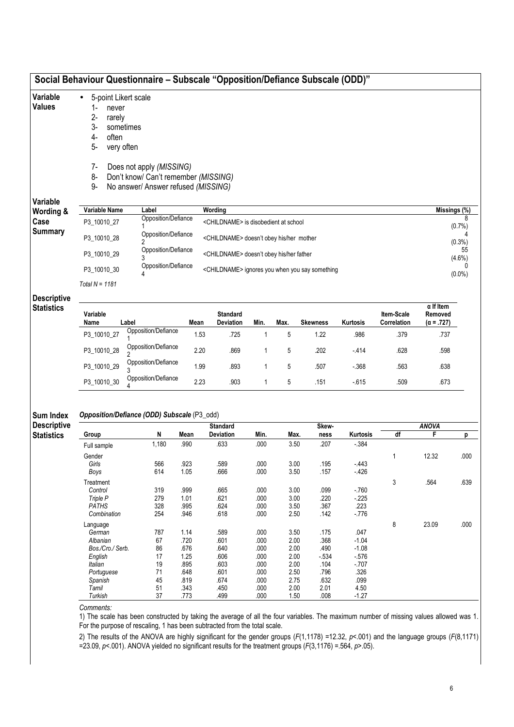|                                         |                                                                                                                                            | Social Behaviour Questionnaire - Subscale "Opposition/Defiance Subscale (ODD)"                          |              |                                                     |              |              |                 |                   |                           |                                                  |           |  |
|-----------------------------------------|--------------------------------------------------------------------------------------------------------------------------------------------|---------------------------------------------------------------------------------------------------------|--------------|-----------------------------------------------------|--------------|--------------|-----------------|-------------------|---------------------------|--------------------------------------------------|-----------|--|
| Variable<br><b>Values</b>               | 5-point Likert scale<br>$\bullet$<br>1-<br>never<br>$2-$<br>rarely<br>3-<br>sometimes<br>4-<br>often<br>5-<br>very often<br>7-<br>8-<br>9- | Does not apply (MISSING)<br>Don't know/ Can't remember (MISSING)<br>No answer/ Answer refused (MISSING) |              |                                                     |              |              |                 |                   |                           |                                                  |           |  |
| Variable                                |                                                                                                                                            |                                                                                                         |              |                                                     |              |              |                 |                   |                           |                                                  |           |  |
| Wording &                               | Variable Name                                                                                                                              | Label<br>Opposition/Defiance                                                                            |              | Wording                                             |              |              |                 |                   |                           | Missings (%)                                     |           |  |
| Case<br><b>Summary</b>                  | P3_10010_27                                                                                                                                |                                                                                                         |              | <childname> is disobedient at school</childname>    |              |              |                 |                   |                           |                                                  | (0.7%     |  |
|                                         | P3_10010_28                                                                                                                                | Opposition/Defiance<br>2                                                                                |              | <childname> doesn't obey his/her mother</childname> |              |              |                 |                   |                           |                                                  | $(0.3\%)$ |  |
|                                         | P3_10010_29                                                                                                                                | Opposition/Defiance                                                                                     |              | <childname> doesn't obey his/her father</childname> |              |              |                 |                   |                           |                                                  | 55        |  |
|                                         |                                                                                                                                            | 3<br>Opposition/Defiance                                                                                |              |                                                     |              |              |                 |                   |                           |                                                  | $(4.6\%)$ |  |
|                                         | P3_10010_30<br><childname> ignores you when you say something<br/>4</childname>                                                            |                                                                                                         |              |                                                     |              |              |                 |                   |                           |                                                  |           |  |
|                                         | Total $N = 1181$                                                                                                                           |                                                                                                         |              |                                                     |              |              |                 |                   |                           |                                                  |           |  |
| <b>Descriptive</b><br><b>Statistics</b> | Variable                                                                                                                                   | Label                                                                                                   | Mean         | <b>Standard</b><br>Deviation                        | Min.         | Max.         | <b>Skewness</b> | Kurtosis          | Item-Scale<br>Correlation | $\alpha$ If Item<br>Removed<br>$(\alpha = .727)$ |           |  |
|                                         | Name<br>P3_10010_27                                                                                                                        | Opposition/Defiance                                                                                     | 1.53         | .725                                                | $\mathbf{1}$ | 5            | 1.22            | .986              | .379                      | .737                                             |           |  |
|                                         | P3_10010_28                                                                                                                                | Opposition/Defiance                                                                                     | 2.20         | .869                                                | 1            | 5            | .202            | $-414$            | .628                      | .598                                             |           |  |
|                                         |                                                                                                                                            | Opposition/Defiance                                                                                     |              |                                                     |              |              |                 |                   |                           |                                                  |           |  |
|                                         | P3_10010_29                                                                                                                                |                                                                                                         | 1.99         | .893                                                | $\mathbf{1}$ | 5            | .507            | $-368$            | .563                      | .638                                             |           |  |
|                                         | P3_10010_30                                                                                                                                | Opposition/Defiance                                                                                     | 2.23         | .903                                                | $\mathbf{1}$ | 5            | .151            | $-615$            | .509                      | .673                                             |           |  |
| <b>Sum Index</b>                        |                                                                                                                                            | Opposition/Defiance (ODD) Subscale (P3_odd)                                                             |              |                                                     |              |              |                 |                   |                           |                                                  |           |  |
| <b>Descriptive</b>                      |                                                                                                                                            |                                                                                                         |              | <b>Standard</b>                                     |              |              | Skew-           |                   |                           | <b>ANOVA</b>                                     |           |  |
| <b>Statistics</b>                       | Group                                                                                                                                      | N                                                                                                       | Mean         | Deviation                                           | Min.         | Max.         | ness            | Kurtosis          | df                        | F                                                | p         |  |
|                                         | Full sample                                                                                                                                | 1,180                                                                                                   | .990         | .633                                                | .000         | 3.50         | .207            | $-384$            |                           |                                                  |           |  |
|                                         | Gender<br>Girls                                                                                                                            | 566                                                                                                     | .923         | .589                                                | .000         | 3.00         | .195            | $-443$            | $\mathbf{1}$              | 12.32                                            | .000      |  |
|                                         | Boys                                                                                                                                       | 614                                                                                                     | 1.05         | .666                                                | .000         | 3.50         | .157            | $-426$            |                           |                                                  |           |  |
|                                         | Treatment                                                                                                                                  |                                                                                                         |              |                                                     |              |              |                 |                   | 3                         | .564                                             | .639      |  |
|                                         | Control<br>Triple P                                                                                                                        | 319<br>279                                                                                              | .999<br>1.01 | .665<br>.621                                        | .000<br>.000 | 3.00<br>3.00 | .099<br>.220    | $-760$<br>$-225$  |                           |                                                  |           |  |
|                                         | <b>PATHS</b>                                                                                                                               | 328                                                                                                     | .995         | .624                                                | .000         | 3.50         | .367            | .223              |                           |                                                  |           |  |
|                                         | Combination                                                                                                                                | 254                                                                                                     | .946         | .618                                                | .000         | 2.50         | .142            | $-776$            |                           |                                                  |           |  |
|                                         | Language                                                                                                                                   |                                                                                                         |              |                                                     |              |              |                 |                   | 8                         | 23.09                                            | .000      |  |
|                                         | German                                                                                                                                     | 787                                                                                                     | 1.14         | .589                                                | .000         | 3.50         | .175            | .047              |                           |                                                  |           |  |
|                                         | Albanian                                                                                                                                   | 67                                                                                                      | .720         | .601                                                | .000         | 2.00         | .368            | $-1.04$           |                           |                                                  |           |  |
|                                         | Bos./Cro./ Serb.<br>English                                                                                                                | 86<br>17                                                                                                | .676<br>1.25 | .640<br>.606                                        | .000<br>.000 | 2.00<br>2.00 | .490<br>$-534$  | $-1.08$<br>$-576$ |                           |                                                  |           |  |
|                                         | Italian                                                                                                                                    | 19                                                                                                      | .895         | .603                                                | .000         | 2.00         | .104            | $-707$            |                           |                                                  |           |  |
|                                         | Portuguese                                                                                                                                 | 71                                                                                                      | .648         | .601                                                | .000         | 2.50         | .796            | .326              |                           |                                                  |           |  |
|                                         | Spanish                                                                                                                                    | 45                                                                                                      | .819         | .674                                                | .000         | 2.75         | .632            | .099              |                           |                                                  |           |  |

1) The scale has been constructed by taking the average of all the four variables. The maximum number of missing values allowed was 1. For the purpose of rescaling, 1 has been subtracted from the total scale.

Tamil 51 .343 .450 .000 2.00 2.01 4.50 Turkish 37 .773 .499 .000 1.50 .008 -1.27

2) The results of the ANOVA are highly significant for the gender groups (F(1,1178) =12.32, p<.001) and the language groups (F(8,1171) = $23.09$ ,  $p$ <.001). ANOVA yielded no significant results for the treatment groups ( $F(3,1176)$  = .564,  $p$ >.05).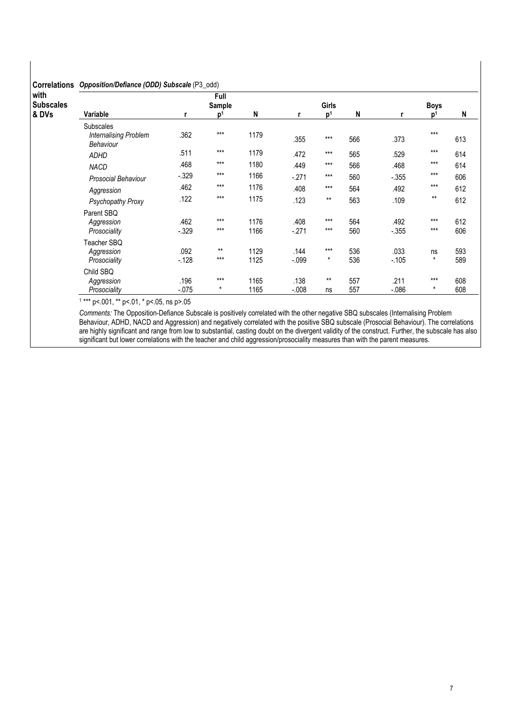#### Correlations Opposition/Defiance (ODD) Subscale (P3\_odd) with Subscales & DVs Full Sample Girls Boys<br>  $p^1$  N r  $p^1$ Variable **r** p<sup>1</sup> N r p<sup>1</sup> N r p<sup>1</sup> N **Subscales**  Internalising Problem Behaviour .362 \*\*\* 1179 .355 \*\*\* 566 .373 \*\*\* 613 ADHD .511 \*\*\* 1179 .472 \*\*\* 565 .529 \*\*\* 614 NACD .468 \*\*\* 1180 .449 \*\*\* 566 .468 \*\*\* 614 Prosocial Behaviour -.329 \*\*\* 1166 -.271 \*\*\* 560 -.355 \*\*\* 606 Aggression .462 \*\*\* 1176 .408 \*\*\* 564 .492 \*\*\* 612 Psychopathy Proxy .122 \*\*\* 1175 .123 \*\* 563 .109 \*\* 612 Parent SBQ<br>Aggression Aggression .462 \*\*\* 1176 .408 \*\*\* 564 .492 \*\*\* 612 Prosociality -.329 \*\*\* 1166 -.271 \*\*\* 560 -.355 \*\*\* 606 Teacher SBQ<br>Aggression Aggression .092 \*\* 1129 .144 \*\*\* 536 .033 ns 593 Prosociality -.128 \*\*\* 1125 -.099 \* 536 -.105 \* 589 Child SBQ Aggression .196 \*\*\* 1165 .138 \*\* 557 .211 \*\*\* 608 Prosociality -.075 \* 1165 -.008 ns 557 -.086 \* 608

1 \*\*\* p<.001, \*\* p<.01, \* p<.05, ns p>.05

Comments: The Opposition-Defiance Subscale is positively correlated with the other negative SBQ subscales (Internalising Problem Behaviour, ADHD, NACD and Aggression) and negatively correlated with the positive SBQ subscale (Prosocial Behaviour). The correlations are highly significant and range from low to substantial, casting doubt on the divergent validity of the construct. Further, the subscale has also significant but lower correlations with the teacher and child aggression/prosociality measures than with the parent measures.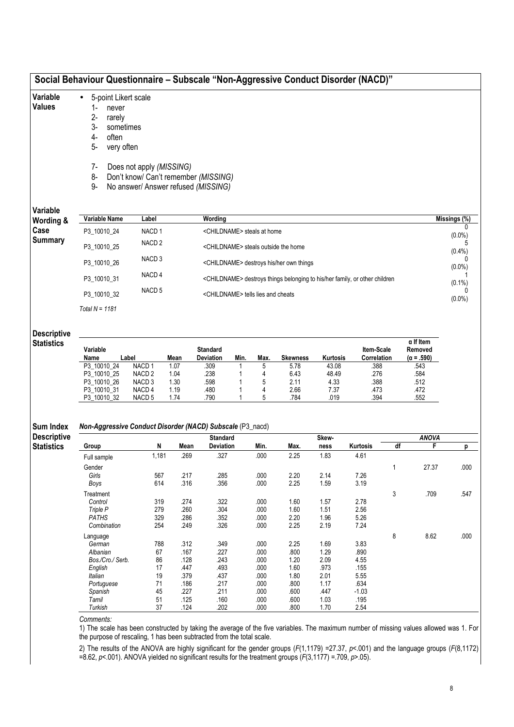|                                                             |                                                                                                                                                 |                                                                                                         |              | Social Behaviour Questionnaire - Subscale "Non-Aggressive Conduct Disorder (NACD)" |      |              |                                                                                        |              |                           |              |                                                  |                           |
|-------------------------------------------------------------|-------------------------------------------------------------------------------------------------------------------------------------------------|---------------------------------------------------------------------------------------------------------|--------------|------------------------------------------------------------------------------------|------|--------------|----------------------------------------------------------------------------------------|--------------|---------------------------|--------------|--------------------------------------------------|---------------------------|
| Variable<br>Values                                          | 5-point Likert scale<br>$\bullet$<br>1-<br>never<br>$2 -$<br>rarely<br>3-<br>sometimes<br>4-<br>often<br>$5-$<br>very often<br>$7-$<br>8-<br>9- | Does not apply (MISSING)<br>Don't know/ Can't remember (MISSING)<br>No answer/ Answer refused (MISSING) |              |                                                                                    |      |              |                                                                                        |              |                           |              |                                                  |                           |
| Variable                                                    | Variable Name                                                                                                                                   | Label                                                                                                   |              |                                                                                    |      |              |                                                                                        |              |                           |              |                                                  |                           |
| Wording &                                                   |                                                                                                                                                 |                                                                                                         |              | Wording                                                                            |      |              |                                                                                        |              |                           |              |                                                  | Missings $\overline{(*)}$ |
| Case<br><b>Summary</b>                                      | P3_10010_24                                                                                                                                     | NACD <sub>1</sub><br>NACD <sub>2</sub>                                                                  |              | <childname> steals at home</childname>                                             |      |              |                                                                                        |              |                           |              |                                                  | $(0.0\%)$<br>5            |
|                                                             | P3_10010_25                                                                                                                                     | NACD <sub>3</sub>                                                                                       |              |                                                                                    |      |              | <childname> steals outside the home</childname>                                        |              |                           |              |                                                  | $(0.4\%)$                 |
|                                                             | P3_10010_26                                                                                                                                     | NACD <sub>4</sub>                                                                                       |              |                                                                                    |      |              | <childname> destroys his/her own things</childname>                                    |              |                           |              |                                                  | $(0.0\%)$                 |
|                                                             | P3_10010_31                                                                                                                                     | NACD <sub>5</sub>                                                                                       |              |                                                                                    |      |              | <childname> destroys things belonging to his/her family, or other children</childname> |              |                           |              |                                                  | $(0.1\%)$<br>0            |
|                                                             | P3_10010_32                                                                                                                                     |                                                                                                         |              | <childname> tells lies and cheats</childname>                                      |      |              |                                                                                        |              |                           |              |                                                  |                           |
|                                                             | Total $N = 1181$                                                                                                                                |                                                                                                         |              |                                                                                    |      |              |                                                                                        |              |                           |              |                                                  |                           |
| <b>Descriptive</b><br><b>Statistics</b>                     | Variable<br>Name<br>Label                                                                                                                       |                                                                                                         | Mean         | <b>Standard</b><br><b>Deviation</b>                                                | Min. | Max.         | <b>Skewness</b>                                                                        | Kurtosis     | Item-Scale<br>Correlation |              | $\alpha$ If Item<br>Removed<br>$(\alpha = .590)$ |                           |
|                                                             | P3 10010 24                                                                                                                                     | NACD <sub>1</sub>                                                                                       | 1.07         | 309                                                                                | 1    | 5            | 5.78                                                                                   | 43.08        | .388                      |              | .543                                             |                           |
|                                                             |                                                                                                                                                 |                                                                                                         |              |                                                                                    | 1    |              |                                                                                        |              |                           |              |                                                  |                           |
|                                                             | P3_10010_25                                                                                                                                     | NACD <sub>2</sub>                                                                                       | 1.04         | .238                                                                               |      | 4            | 6.43                                                                                   | 48.49        | .276                      |              | .584                                             |                           |
|                                                             | P3_10010_26                                                                                                                                     | NACD <sub>3</sub><br>NACD <sub>4</sub>                                                                  | 1.30<br>1.19 | .598<br>.480                                                                       |      | 5<br>4       | 2.11<br>2.66                                                                           | 4.33         | .388<br>.473              |              | .512<br>.472                                     |                           |
|                                                             | P3_10010_31<br>P3_10010_32                                                                                                                      | NACD <sub>5</sub>                                                                                       | 1.74         | .790                                                                               |      | 5            | .784                                                                                   | 7.37<br>.019 | .394                      |              | .552                                             |                           |
|                                                             | Non-Aggressive Conduct Disorder (NACD) Subscale (P3_nacd)                                                                                       |                                                                                                         |              |                                                                                    |      |              |                                                                                        |              |                           |              |                                                  |                           |
|                                                             |                                                                                                                                                 |                                                                                                         |              | <b>Standard</b>                                                                    |      |              |                                                                                        | Skew-        |                           |              | <b>ANOVA</b>                                     |                           |
| <b>Sum Index</b><br><b>Descriptive</b><br><b>Statistics</b> | Group                                                                                                                                           | N                                                                                                       | Mean         | Deviation                                                                          |      | Min.         | Max.                                                                                   | ness         | Kurtosis                  | df           | F                                                | p                         |
|                                                             | Full sample                                                                                                                                     | 1,181                                                                                                   | .269         | .327                                                                               |      | .000         | 2.25                                                                                   | 1.83         | 4.61                      |              |                                                  |                           |
|                                                             | Gender<br>Girls                                                                                                                                 | 567                                                                                                     | .217         | .285                                                                               |      | .000         | 2.20                                                                                   | 2.14         | 7.26                      | $\mathbf{1}$ | 27.37                                            | .000                      |
|                                                             | Boys                                                                                                                                            | 614                                                                                                     | .316         | .356                                                                               |      | .000         | 2.25                                                                                   | 1.59         | 3.19                      |              |                                                  |                           |
|                                                             | Treatment                                                                                                                                       |                                                                                                         |              |                                                                                    |      |              |                                                                                        |              |                           | 3            | .709                                             |                           |
|                                                             | Control                                                                                                                                         | 319                                                                                                     | .274         | .322                                                                               |      | .000         | 1.60                                                                                   | 1.57         | 2.78                      |              |                                                  |                           |
|                                                             | Triple P                                                                                                                                        | 279                                                                                                     | .260         | .304                                                                               |      | .000         | 1.60                                                                                   | 1.51         | 2.56                      |              |                                                  | .547                      |
|                                                             | <b>PATHS</b>                                                                                                                                    | 329                                                                                                     | .286         | .352                                                                               |      | .000         | 2.20                                                                                   | 1.96         | 5.26                      |              |                                                  |                           |
|                                                             | Combination                                                                                                                                     | 254                                                                                                     | .249         | .326                                                                               |      | .000         | 2.25                                                                                   | 2.19         | 7.24                      |              |                                                  |                           |
|                                                             | Language<br>German                                                                                                                              | 788                                                                                                     | .312         | .349                                                                               |      | .000         | 2.25                                                                                   | 1.69         | 3.83                      | 8            | 8.62                                             |                           |
|                                                             | Albanian                                                                                                                                        | 67                                                                                                      | .167         | .227                                                                               |      | .000         | .800                                                                                   | 1.29         | .890                      |              |                                                  |                           |
|                                                             | Bos./Cro./ Serb.                                                                                                                                | 86                                                                                                      | .128         | .243                                                                               |      | .000         | 1.20                                                                                   | 2.09         | 4.55                      |              |                                                  |                           |
|                                                             | English                                                                                                                                         | 17                                                                                                      | .447         | .493                                                                               |      | .000         | 1.60                                                                                   | .973         | .155                      |              |                                                  |                           |
|                                                             | Italian                                                                                                                                         | 19                                                                                                      | .379         | .437                                                                               |      | .000         | 1.80                                                                                   | 2.01         | 5.55                      |              |                                                  |                           |
|                                                             | Portuguese                                                                                                                                      | 71                                                                                                      | .186         | .217                                                                               |      | .000         | .800                                                                                   | 1.17         | .634                      |              |                                                  |                           |
|                                                             | Spanish<br>Tamil                                                                                                                                | 45<br>51                                                                                                | .227<br>.125 | .211<br>.160                                                                       |      | .000<br>.000 | .600<br>.600                                                                           | .447<br>1.03 | $-1.03$<br>.195           |              |                                                  | .000                      |

1) The scale has been constructed by taking the average of the five variables. The maximum number of missing values allowed was 1. For the purpose of rescaling, 1 has been subtracted from the total scale.

2) The results of the ANOVA are highly significant for the gender groups  $(F(1, 1179)$  =27.37, p <.001) and the language groups  $(F(8, 1172)$ =8.62, p<.001). ANOVA yielded no significant results for the treatment groups  $(F(3,1177) = 709, p > .05)$ .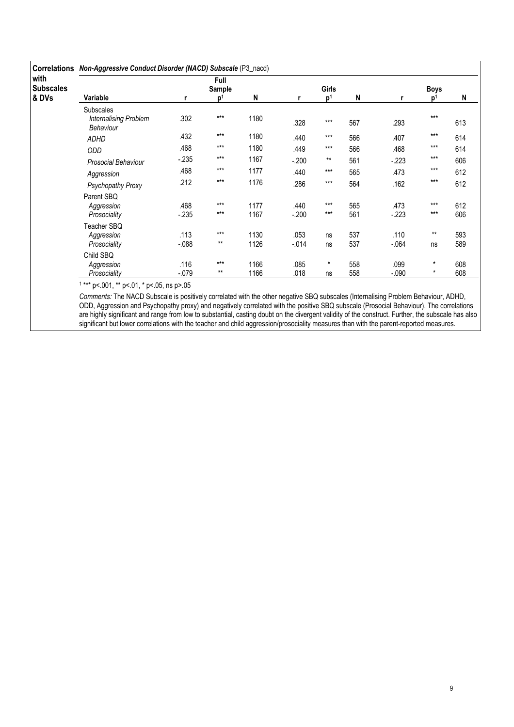| with             |                                                               |                  | Full           |              |                 |                |            |                 |                    |            |
|------------------|---------------------------------------------------------------|------------------|----------------|--------------|-----------------|----------------|------------|-----------------|--------------------|------------|
| <b>Subscales</b> |                                                               |                  | Sample         |              | <b>Girls</b>    |                |            |                 | <b>Boys</b>        |            |
| & DVs            | Variable                                                      |                  | D <sup>1</sup> | N            | r               | p1             | N          | r               | ŋ,                 | N          |
|                  | <b>Subscales</b><br><b>Internalising Problem</b><br>Behaviour | .302             | $***$          | 1180         | .328            | $***$          | 567        | .293            | $***$              | 613        |
|                  | <b>ADHD</b>                                                   | .432             | $***$          | 1180         | .440            | $***$          | 566        | .407            | $***$              | 614        |
|                  | <b>ODD</b>                                                    | .468             | $***$          | 1180         | .449            | $***$          | 566        | .468            | $***$              | 614        |
|                  | <b>Prosocial Behaviour</b>                                    | $-235$           | $***$          | 1167         | $-.200$         | $***$          | 561        | $-223$          | $***$              | 606        |
|                  | Aggression                                                    | .468             | $***$          | 1177         | .440            | $***$          | 565        | .473            | $***$              | 612        |
|                  | Psychopathy Proxy                                             | .212             | $***$          | 1176         | .286            | $***$          | 564        | .162            | $***$              | 612        |
|                  | Parent SBQ<br>Aggression<br>Prosociality                      | .468<br>$-235$   | $***$<br>$***$ | 1177<br>1167 | .440<br>$-.200$ | $***$<br>$***$ | 565<br>561 | .473<br>$-223$  | $***$<br>$***$     | 612<br>606 |
|                  | Teacher SBQ<br>Aggression<br>Prosociality                     | .113<br>$-0.088$ | $***$<br>$***$ | 1130<br>1126 | .053<br>$-0.14$ | ns<br>ns       | 537<br>537 | .110<br>$-.064$ | $***$<br>ns        | 593<br>589 |
|                  | Child SBQ<br>Aggression<br>Prosociality                       | .116<br>$-.079$  | $***$<br>$***$ | 1166<br>1166 | .085<br>.018    | $\star$<br>ns  | 558<br>558 | .099<br>$-.090$ | $\star$<br>$\star$ | 608<br>608 |

1 \*\*\* p<.001, \*\* p<.01, \* p<.05, ns p>.05

Comments: The NACD Subscale is positively correlated with the other negative SBQ subscales (Internalising Problem Behaviour, ADHD, ODD, Aggression and Psychopathy proxy) and negatively correlated with the positive SBQ subscale (Prosocial Behaviour). The correlations are highly significant and range from low to substantial, casting doubt on the divergent validity of the construct. Further, the subscale has also significant but lower correlations with the teacher and child aggression/prosociality measures than with the parent-reported measures.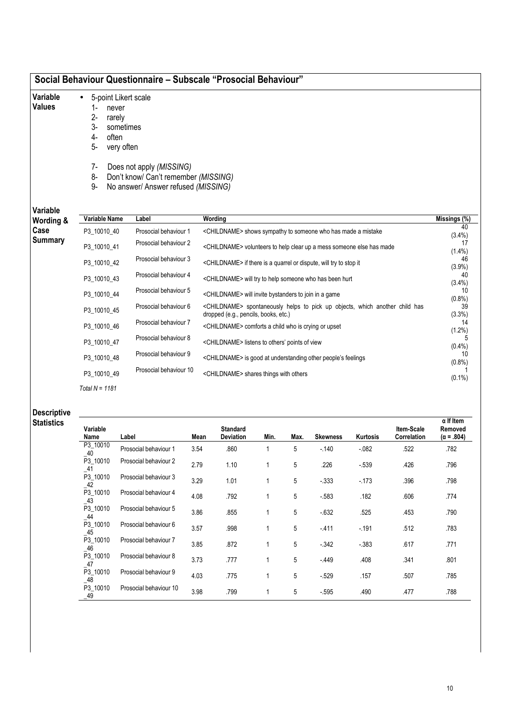## Social Behaviour Questionnaire – Subscale "Prosocial Behaviour"

- 5-point Likert scale
- Variable Values
- 1- never
- 2- rarely 3- sometimes
- 4- often
- 5- very often
- 
- 7- Does not apply (MISSING)
- 8- Don't know/ Can't remember (MISSING)
- 9- No answer/ Answer refused (MISSING)

# Variable

| Variable<br>Wording & | Variable Name    | Label                  | Wording                                                                                                                          | Missings (%)    |
|-----------------------|------------------|------------------------|----------------------------------------------------------------------------------------------------------------------------------|-----------------|
| Case                  | P3 10010 40      | Prosocial behaviour 1  | <childname> shows sympathy to someone who has made a mistake</childname>                                                         | 40<br>$(3.4\%)$ |
| Summary               | P3 10010 41      | Prosocial behaviour 2  | <childname> volunteers to help clear up a mess someone else has made</childname>                                                 | 17<br>$(1.4\%)$ |
|                       | P3_10010_42      | Prosocial behaviour 3  | <childname> if there is a quarrel or dispute, will try to stop it</childname>                                                    | 46<br>(3.9%)    |
|                       | P3 10010 43      | Prosocial behaviour 4  | <childname> will try to help someone who has been hurt</childname>                                                               | 40<br>$(3.4\%)$ |
|                       | P3 10010 44      | Prosocial behaviour 5  | <childname> will invite bystanders to join in a game</childname>                                                                 | 10<br>$(0.8\%)$ |
|                       | P3_10010_45      | Prosocial behaviour 6  | <childname> spontaneously helps to pick up objects, which another child has<br/>dropped (e.g., pencils, books, etc.)</childname> | 39<br>$(3.3\%)$ |
|                       | P3 10010 46      | Prosocial behaviour 7  | <childname> comforts a child who is crying or upset</childname>                                                                  | 14<br>(1.2%)    |
|                       | P3 10010 47      | Prosocial behaviour 8  | <childname> listens to others' points of view</childname>                                                                        | (0.4% )         |
|                       | P3 10010 48      | Prosocial behaviour 9  | <childname> is good at understanding other people's feelings</childname>                                                         | 10<br>$(0.8\%)$ |
|                       | P3 10010 49      | Prosocial behaviour 10 | <childname> shares things with others</childname>                                                                                | $(0.1\%)$       |
|                       | Total $N = 1181$ |                        |                                                                                                                                  |                 |

#### Descriptive

Statistics

| Variable<br>Name            | Label                  | Mean | <b>Standard</b><br><b>Deviation</b> | Min. | Max. | <b>Skewness</b> | <b>Kurtosis</b> | Item-Scale<br>Correlation | $\alpha$ If Item<br>Removed<br>(α = .804) |
|-----------------------------|------------------------|------|-------------------------------------|------|------|-----------------|-----------------|---------------------------|-------------------------------------------|
| P3 10010                    | Prosocial behaviour 1  | 3.54 | .860                                |      | 5    | $-140$          | $-082$          | .522                      | .782                                      |
| $-40$<br>P3_10010<br>$-41$  | Prosocial behaviour 2  | 2.79 | 1.10                                |      | 5    | .226            | $-539$          | .426                      | .796                                      |
| P3 10010<br>$-42$           | Prosocial behaviour 3  | 3.29 | 1.01                                |      | 5    | $-333$          | $-173$          | .396                      | .798                                      |
| P3 10010<br>$-43$           | Prosocial behaviour 4  | 4.08 | .792                                |      | 5    | $-583$          | .182            | .606                      | .774                                      |
| P3 10010<br>$-44$           | Prosocial behaviour 5  | 3.86 | .855                                |      | 5    | $-632$          | .525            | .453                      | .790                                      |
| P3 10010<br>$\_45$          | Prosocial behaviour 6  | 3.57 | .998                                |      | 5    | $-411$          | $-191$          | .512                      | .783                                      |
| P3 10010<br>$-46$           | Prosocial behaviour 7  | 3.85 | .872                                |      | 5    | $-342$          | $-383$          | .617                      | .771                                      |
| P3 10010<br>$-47$           | Prosocial behaviour 8  | 3.73 | .777                                |      | 5    | $-449$          | .408            | .341                      | .801                                      |
| P3 10010                    | Prosocial behaviour 9  | 4.03 | .775                                |      | 5    | $-529$          | .157            | .507                      | .785                                      |
| $\_48$<br>P3 10010<br>$-49$ | Prosocial behaviour 10 | 3.98 | .799                                |      | 5    | $-595$          | .490            | .477                      | .788                                      |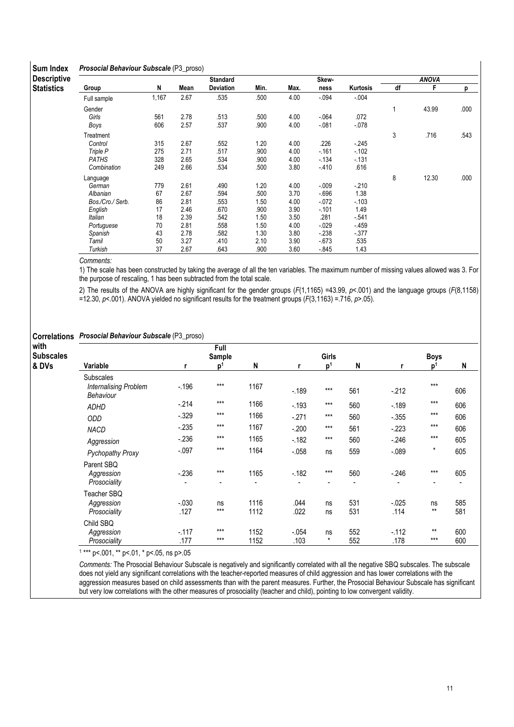#### Sum Index **Prosocial Behaviour Subscale (P3\_proso)**

| ounn muon          | $\frac{1}{2}$    |       |      |                 |      |      |         |          |    |              |      |
|--------------------|------------------|-------|------|-----------------|------|------|---------|----------|----|--------------|------|
| <b>Descriptive</b> |                  |       |      | <b>Standard</b> |      |      | Skew-   |          |    | <b>ANOVA</b> |      |
| <b>Statistics</b>  | Group            | N     | Mean | Deviation       | Min. | Max. | ness    | Kurtosis | df | F            | p    |
|                    | Full sample      | 1,167 | 2.67 | .535            | .500 | 4.00 | $-0.94$ | $-0.004$ |    |              |      |
|                    | Gender           |       |      |                 |      |      |         |          |    | 43.99        | .000 |
|                    | Girls            | 561   | 2.78 | .513            | .500 | 4.00 | $-064$  | .072     |    |              |      |
|                    | Boys             | 606   | 2.57 | .537            | .900 | 4.00 | $-081$  | $-078$   |    |              |      |
|                    | Treatment        |       |      |                 |      |      |         |          | 3  | .716         | .543 |
|                    | Control          | 315   | 2.67 | .552            | 1.20 | 4.00 | .226    | $-245$   |    |              |      |
|                    | Triple P         | 275   | 2.71 | .517            | .900 | 4.00 | $-161$  | $-102$   |    |              |      |
|                    | PATHS            | 328   | 2.65 | .534            | .900 | 4.00 | $-134$  | $-131$   |    |              |      |
|                    | Combination      | 249   | 2.66 | .534            | .500 | 3.80 | $-410$  | .616     |    |              |      |
|                    | Language         |       |      |                 |      |      |         |          | 8  | 12.30        | .000 |
|                    | German           | 779   | 2.61 | .490            | 1.20 | 4.00 | $-009$  | -.210    |    |              |      |
|                    | Albanian         | 67    | 2.67 | .594            | .500 | 3.70 | $-696$  | 1.38     |    |              |      |
|                    | Bos./Cro./ Serb. | 86    | 2.81 | .553            | 1.50 | 4.00 | $-072$  | $-103$   |    |              |      |
|                    | English          | 17    | 2.46 | .670            | .900 | 3.90 | $-101$  | 1.49     |    |              |      |
|                    | Italian          | 18    | 2.39 | .542            | 1.50 | 3.50 | .281    | $-541$   |    |              |      |
|                    | Portuguese       | 70    | 2.81 | .558            | 1.50 | 4.00 | $-029$  | - 459    |    |              |      |
|                    | Spanish          | 43    | 2.78 | .582            | 1.30 | 3.80 | $-238$  | $-377$   |    |              |      |
|                    | Tamil            | 50    | 3.27 | .410            | 2.10 | 3.90 | $-673$  | .535     |    |              |      |
|                    | Turkish          | 37    | 2.67 | .643            | .900 | 3.60 | $-845$  | 1.43     |    |              |      |

Comments:

1) The scale has been constructed by taking the average of all the ten variables. The maximum number of missing values allowed was 3. For the purpose of rescaling, 1 has been subtracted from the total scale.

2) The results of the ANOVA are highly significant for the gender groups  $(F(1, 1165) = 43.99, p < .001)$  and the language groups  $(F(8, 1158)$ =12.30,  $p$ <.001). ANOVA yielded no significant results for the treatment groups ( $F(3,1163) = .716$ ,  $p > .05$ ).

#### Correlations Prosocial Behaviour Subscale (P3\_proso)

| with<br><b>Subscales</b> |                                                        |                 | Full<br>Sample                    |              |                | Girls          |                                 |                  | <b>Boys</b>             |                                 |
|--------------------------|--------------------------------------------------------|-----------------|-----------------------------------|--------------|----------------|----------------|---------------------------------|------------------|-------------------------|---------------------------------|
| & DVs                    | Variable                                               |                 | p <sup>1</sup>                    | N            |                | p <sup>1</sup> | N                               |                  | p <sup>1</sup>          | N                               |
|                          | <b>Subscales</b><br>Internalising Problem<br>Behaviour | $-196$          | $***$                             | 1167         | $-189$         | $***$          | 561                             | $-212$           | $***$                   | 606                             |
|                          | <b>ADHD</b>                                            | $-214$          | $***$                             | 1166         | $-193$         | $***$          | 560                             | $-189$           | $***$                   | 606                             |
|                          | <b>ODD</b>                                             | $-.329$         | $***$                             | 1166         | $-.271$        | $***$          | 560                             | $-355$           | $***$                   | 606                             |
|                          | NACD                                                   | $-235$          | $***$                             | 1167         | $-.200$        | $***$          | 561                             | $-223$           | $***$                   | 606                             |
|                          | Aggression                                             | $-236$          | $***$                             | 1165         | $-182$         | $***$          | 560                             | $-246$           | $***$                   | 605                             |
|                          | <b>Pychopathy Proxy</b>                                | $-.097$         | $***$                             | 1164         | $-0.058$       | ns             | 559                             | $-0.089$         | $\star$                 | 605                             |
|                          | Parent SBO<br>Aggression<br>Prosociality               | $-236$          | $***$<br>$\overline{\phantom{a}}$ | 1165         | $-182$         | $***$          | 560<br>$\overline{\phantom{a}}$ | $-246$           | $***$<br>$\blacksquare$ | 605<br>$\overline{\phantom{0}}$ |
|                          | Teacher SBQ<br>Aggression<br>Prosociality              | $-.030$<br>.127 | ns<br>$***$                       | 1116<br>1112 | .044<br>.022   | ns<br>ns       | 531<br>531                      | $-0.025$<br>.114 | ns<br>$***$             | 585<br>581                      |
|                          | Child SBQ<br>Aggression<br>Prosociality                | $-117$<br>.177  | $***$<br>$***$                    | 1152<br>1152 | $-054$<br>.103 | ns<br>$\star$  | 552<br>552                      | $-112$<br>.178   | $***$<br>$***$          | 600<br>600                      |

1 \*\*\* p<.001, \*\* p<.01, \* p<.05, ns p>.05

Comments: The Prosocial Behaviour Subscale is negatively and significantly correlated with all the negative SBQ subscales. The subscale does not yield any significant correlations with the teacher-reported measures of child aggression and has lower correlations with the aggression measures based on child assessments than with the parent measures. Further, the Prosocial Behaviour Subscale has significant but very low correlations with the other measures of prosociality (teacher and child), pointing to low convergent validity.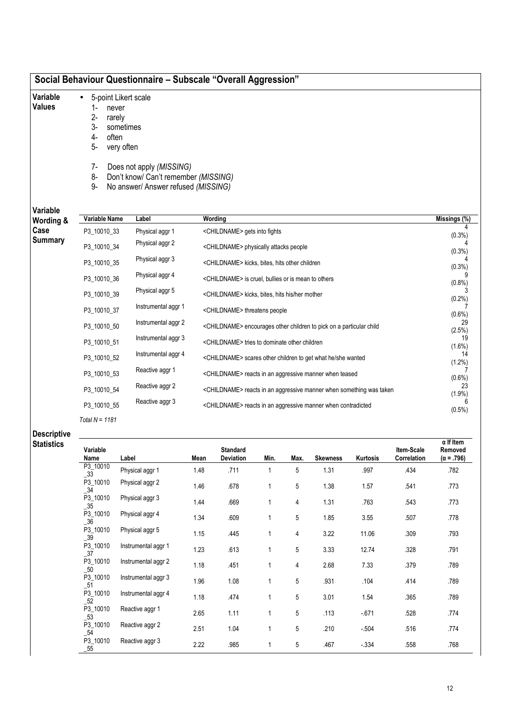- Variable • 5-point Likert scale
- Values
- 1- never
- 2- rarely
- 3- sometimes
- 4- often
- 5- very often
- 7- Does not apply (MISSING)
- 8- Don't know/ Can't remember (MISSING)
- 9- No answer/ Answer refused (MISSING)

Variable

| Variable<br>Wording & | Variable Name    | Label               | Wording                                                                         | Missings (%)    |
|-----------------------|------------------|---------------------|---------------------------------------------------------------------------------|-----------------|
| Case                  | P3 10010 33      | Physical aggr 1     | <childname> gets into fights</childname>                                        | $(0.3\%)$       |
| <b>Summary</b>        | P3 10010 34      | Physical aggr 2     | <childname> physically attacks people</childname>                               | (0.3%)          |
|                       | P3 10010 35      | Physical aggr 3     | <childname> kicks, bites, hits other children</childname>                       | (0.3%)          |
|                       | P3_10010_36      | Physical aggr 4     | <childname> is cruel, bullies or is mean to others</childname>                  | (0.8% )         |
|                       | P3_10010_39      | Physical aggr 5     | <childname> kicks, bites, hits his/her mother</childname>                       | (0.2%)          |
|                       | P3 10010 37      | Instrumental aggr 1 | <childname> threatens people</childname>                                        | $(0.6\%)$       |
|                       | P3 10010 50      | Instrumental aggr 2 | <childname> encourages other children to pick on a particular child</childname> | 29<br>(2.5%)    |
|                       | P3_10010_51      | Instrumental aggr 3 | <childname> tries to dominate other children</childname>                        | 19<br>$(1.6\%)$ |
|                       | P3 10010 52      | Instrumental aggr 4 | <childname> scares other children to get what he/she wanted</childname>         | 14<br>$(1.2\%)$ |
|                       | P3_10010_53      | Reactive aggr 1     | <childname> reacts in an aggressive manner when teased</childname>              | $(0.6\%)$       |
|                       | P3 10010 54      | Reactive aggr 2     | <childname> reacts in an aggressive manner when something was taken</childname> | 23<br>$(1.9\%)$ |
|                       | P3_10010_55      | Reactive aggr 3     | <childname> reacts in an aggressive manner when contradicted</childname>        | $(0.5\%)$       |
|                       | Total $N = 1181$ |                     |                                                                                 |                 |

| <b>Descriptive</b> |
|--------------------|
|                    |
| <b>Statistics</b>  |
|                    |

| istics | Variable<br>Name   | Label               | Mean | <b>Standard</b><br><b>Deviation</b> | Min. | Max.           | <b>Skewness</b> | Kurtosis | Item-Scale<br>Correlation | $\alpha$ If Item<br>Removed<br>$(\alpha = .796)$ |
|--------|--------------------|---------------------|------|-------------------------------------|------|----------------|-----------------|----------|---------------------------|--------------------------------------------------|
|        | P3_10010<br>$-33$  | Physical aggr 1     | 1.48 | .711                                | 1    | 5              | 1.31            | .997     | .434                      | .782                                             |
|        | P3_10010<br>$-34$  | Physical aggr 2     | 1.46 | .678                                | 1    | 5              | 1.38            | 1.57     | .541                      | .773                                             |
|        | P3_10010<br>$\_35$ | Physical aggr 3     | 1.44 | .669                                | 1    | 4              | 1.31            | .763     | .543                      | .773                                             |
|        | P3_10010<br>$-36$  | Physical aggr 4     | 1.34 | .609                                |      | 5              | 1.85            | 3.55     | .507                      | .778                                             |
|        | P3_10010<br>$-39$  | Physical aggr 5     | 1.15 | .445                                | 1    | 4              | 3.22            | 11.06    | .309                      | .793                                             |
|        | P3_10010<br>$-37$  | Instrumental aggr 1 | 1.23 | .613                                | 1    | 5              | 3.33            | 12.74    | .328                      | .791                                             |
|        | P3_10010<br>$\_50$ | Instrumental aggr 2 | 1.18 | .451                                | 1    | $\overline{4}$ | 2.68            | 7.33     | .379                      | .789                                             |
|        | P3_10010<br>$-51$  | Instrumental aggr 3 | 1.96 | 1.08                                | 1    | 5              | .931            | .104     | .414                      | .789                                             |
|        | P3_10010<br>$-52$  | Instrumental aggr 4 | 1.18 | .474                                | 1    | 5              | 3.01            | 1.54     | .365                      | .789                                             |
|        | P3_10010<br>$\_53$ | Reactive aggr 1     | 2.65 | 1.11                                | 1    | 5              | .113            | $-671$   | .528                      | .774                                             |
|        | P3_10010<br>$-54$  | Reactive aggr 2     | 2.51 | 1.04                                | 1    | 5              | .210            | $-504$   | .516                      | .774                                             |
|        | P3_10010<br>$-55$  | Reactive aggr 3     | 2.22 | .985                                |      | 5              | .467            | $-334$   | .558                      | .768                                             |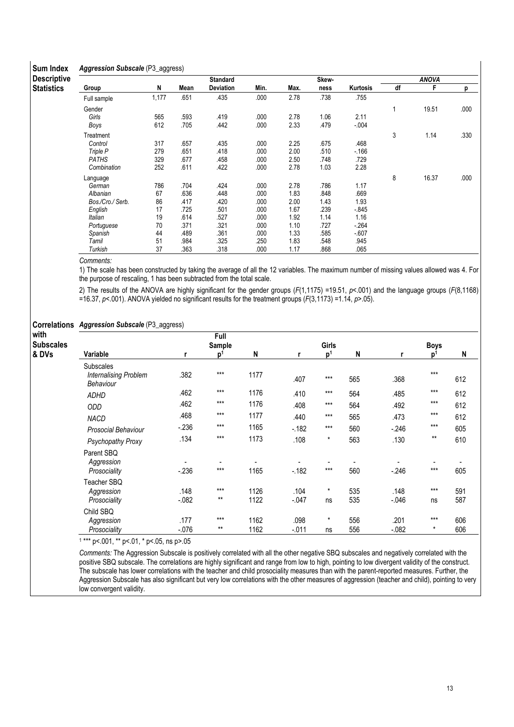#### Sum Index Aggression Subscale (P3\_aggress)

| UUIII IIIUUA       |                  | $1.2 - 999.000$ |      |                 |      |      |       |          |    |              |      |
|--------------------|------------------|-----------------|------|-----------------|------|------|-------|----------|----|--------------|------|
| <b>Descriptive</b> |                  |                 |      | <b>Standard</b> |      |      | Skew- |          |    | <b>ANOVA</b> |      |
| <b>Statistics</b>  | Group            | N               | Mean | Deviation       | Min. | Max. | ness  | Kurtosis | df | F            | р    |
|                    | Full sample      | 1,177           | .651 | .435            | .000 | 2.78 | .738  | .755     |    |              |      |
|                    | Gender           |                 |      |                 |      |      |       |          |    | 19.51        | .000 |
|                    | Girls            | 565             | .593 | .419            | .000 | 2.78 | 1.06  | 2.11     |    |              |      |
|                    | Boys             | 612             | .705 | .442            | .000 | 2.33 | .479  | $-0.004$ |    |              |      |
|                    | Treatment        |                 |      |                 |      |      |       |          | 3  | 1.14         | .330 |
|                    | Control          | 317             | .657 | .435            | .000 | 2.25 | .675  | .468     |    |              |      |
|                    | Triple P         | 279             | .651 | .418            | .000 | 2.00 | .510  | $-166$   |    |              |      |
|                    | PATHS            | 329             | .677 | .458            | .000 | 2.50 | .748  | .729     |    |              |      |
|                    | Combination      | 252             | .611 | .422            | .000 | 2.78 | 1.03  | 2.28     |    |              |      |
|                    | Language         |                 |      |                 |      |      |       |          | 8  | 16.37        | .000 |
|                    | German           | 786             | .704 | .424            | .000 | 2.78 | .786  | 1.17     |    |              |      |
|                    | Albanian         | 67              | .636 | .448            | .000 | 1.83 | .848  | .669     |    |              |      |
|                    | Bos./Cro./ Serb. | 86              | .417 | .420            | .000 | 2.00 | 1.43  | 1.93     |    |              |      |
|                    | English          | 17              | .725 | .501            | .000 | 1.67 | .239  | $-845$   |    |              |      |
|                    | Italian          | 19              | .614 | .527            | .000 | 1.92 | 1.14  | 1.16     |    |              |      |
|                    | Portuguese       | 70              | .371 | .321            | .000 | 1.10 | .727  | $-264$   |    |              |      |
|                    | Spanish          | 44              | .489 | .361            | .000 | 1.33 | .585  | $-607$   |    |              |      |
|                    | Tamil            | 51              | .984 | .325            | .250 | 1.83 | .548  | .945     |    |              |      |
|                    | Turkish          | 37              | .363 | .318            | .000 | 1.17 | .868  | .065     |    |              |      |

Comments:

1) The scale has been constructed by taking the average of all the 12 variables. The maximum number of missing values allowed was 4. For the purpose of rescaling, 1 has been subtracted from the total scale.

2) The results of the ANOVA are highly significant for the gender groups  $(F(1,1175) = 19.51, p < .001)$  and the language groups  $(F(8,1168)$ =16.37,  $p$ <.001). ANOVA yielded no significant results for the treatment groups ( $F(3,1173) = 1.14$ ,  $p > .05$ ).

|                          | <b>Correlations Aggression Subscale (P3_aggress)</b>   |                  |                |              |                |                |            |                  |                  |            |
|--------------------------|--------------------------------------------------------|------------------|----------------|--------------|----------------|----------------|------------|------------------|------------------|------------|
| with<br><b>Subscales</b> |                                                        |                  | Full<br>Sample |              |                | <b>Girls</b>   |            |                  | <b>Boys</b>      |            |
| & DVs                    | Variable                                               | r                | p <sup>1</sup> | N            |                | p <sup>1</sup> | N          | r                | p <sup>1</sup>   | N          |
|                          | <b>Subscales</b><br>Internalising Problem<br>Behaviour | .382             | $***$          | 1177         | .407           | $***$          | 565        | .368             | $***$            | 612        |
|                          | <b>ADHD</b>                                            | .462             | $***$          | 1176         | .410           | $***$          | 564        | .485             | $***$            | 612        |
|                          | ODD                                                    | .462             | $***$          | 1176         | .408           | $***$          | 564        | .492             | $***$            | 612        |
|                          | <b>NACD</b>                                            | .468             | $***$          | 1177         | .440           | $***$          | 565        | .473             | $***$            | 612        |
|                          | <b>Prosocial Behaviour</b>                             | $-236$           | $***$          | 1165         | $-182$         | $***$          | 560        | $-246$           | $***$            | 605        |
|                          | Psychopathy Proxy                                      | .134             | $***$          | 1173         | .108           | $^\star$       | 563        | .130             | $***$            | 610        |
|                          | Parent SBQ<br>Aggression<br>Prosociality               | $-236$           | $***$          | 1165         | $-182$         | $***$          | 560        | $-.246$          | $***$            | 605        |
|                          | Teacher SBQ<br>Aggression<br>Prosociality              | .148<br>$-0.082$ | $***$<br>$***$ | 1126<br>1122 | .104<br>$-047$ | $^\star$<br>ns | 535<br>535 | .148<br>$-0.046$ | $***$<br>ns      | 591<br>587 |
|                          | Child SBQ<br>Aggression<br>Prosociality                | .177<br>$-0.076$ | $***$<br>$***$ | 1162<br>1162 | .098<br>$-011$ | $\star$<br>ns  | 556<br>556 | .201<br>$-0.082$ | $***$<br>$\star$ | 606<br>606 |

1 \*\*\* p<.001, \*\* p<.01, \* p<.05, ns p>.05

Comments: The Aggression Subscale is positively correlated with all the other negative SBQ subscales and negatively correlated with the positive SBQ subscale. The correlations are highly significant and range from low to high, pointing to low divergent validity of the construct. The subscale has lower correlations with the teacher and child prosociality measures than with the parent-reported measures. Further, the Aggression Subscale has also significant but very low correlations with the other measures of aggression (teacher and child), pointing to very low convergent validity.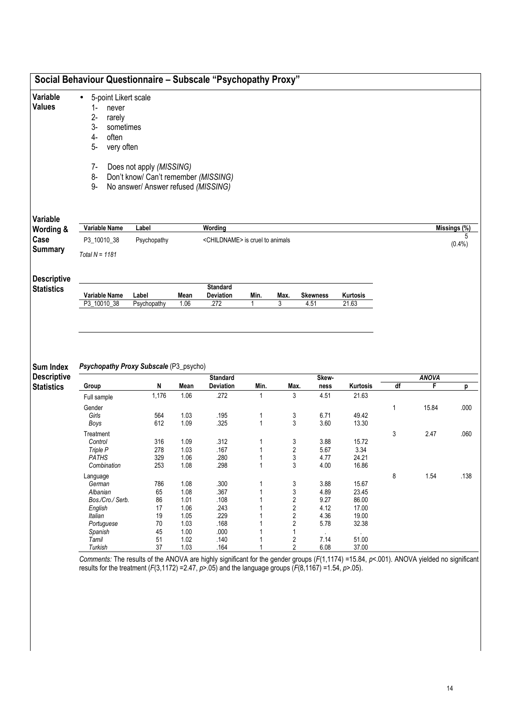| Variable<br><b>Values</b>       | 5-point Likert scale<br>$\bullet$<br>$1 -$<br>never<br>$2-$<br>rarely<br>3-<br>sometimes<br>$4-$<br>often<br>5-<br>very often<br>$7-$<br>8-<br>9- | Does not apply (MISSING)<br>Don't know/ Can't remember (MISSING)<br>No answer/ Answer refused (MISSING) |              |                                             |              |                     |                 |                |    |              |                      |
|---------------------------------|---------------------------------------------------------------------------------------------------------------------------------------------------|---------------------------------------------------------------------------------------------------------|--------------|---------------------------------------------|--------------|---------------------|-----------------|----------------|----|--------------|----------------------|
| Variable                        |                                                                                                                                                   |                                                                                                         |              |                                             |              |                     |                 |                |    |              |                      |
| Wording &                       | Variable Name                                                                                                                                     | Label                                                                                                   |              | Wording                                     |              |                     |                 |                |    |              | Missings (%)<br>5    |
| Case<br><b>Summary</b>          | P3_10010_38                                                                                                                                       | Psychopathy                                                                                             |              | <childname> is cruel to animals</childname> |              |                     |                 |                |    |              | (0.4% )              |
|                                 | Total $N = 1181$                                                                                                                                  |                                                                                                         |              |                                             |              |                     |                 |                |    |              |                      |
| <b>Descriptive</b>              | <b>Standard</b>                                                                                                                                   |                                                                                                         |              |                                             |              |                     |                 |                |    |              |                      |
| <b>Statistics</b>               |                                                                                                                                                   |                                                                                                         |              |                                             |              |                     |                 |                |    |              |                      |
|                                 | Variable Name                                                                                                                                     | Label                                                                                                   | Mean         | Deviation                                   | Min.         | Max.                | <b>Skewness</b> | Kurtosis       |    |              |                      |
|                                 | P3_10010_38                                                                                                                                       | Psychopathy                                                                                             | 1.06         | .272                                        |              | 3                   | 4.51            | 21.63          |    |              |                      |
| Sum Index<br><b>Descriptive</b> | Psychopathy Proxy Subscale (P3_psycho)                                                                                                            |                                                                                                         |              | <b>Standard</b>                             |              |                     | Skew-           |                |    | <b>ANOVA</b> |                      |
| <b>Statistics</b>               | Group                                                                                                                                             | N                                                                                                       | Mean         | Deviation                                   | Min.         | Max.                | ness            | Kurtosis       | df | F            | p                    |
|                                 | Full sample                                                                                                                                       | 1,176                                                                                                   | 1.06         | .272                                        | $\mathbf{1}$ | 3                   | 4.51            | 21.63          |    |              |                      |
|                                 | Gender                                                                                                                                            |                                                                                                         |              |                                             |              |                     |                 |                | 1  | 15.84        |                      |
|                                 | Girls                                                                                                                                             | 564                                                                                                     | 1.03         | .195                                        | 1            | 3                   | 6.71            | 49.42          |    |              |                      |
|                                 | Boys                                                                                                                                              | 612                                                                                                     | 1.09         | .325                                        | 1            | 3                   | 3.60            | 13.30          |    |              |                      |
|                                 | Treatment<br>Control                                                                                                                              | 316                                                                                                     | 1.09         | .312                                        | 1            |                     | 3.88            | 15.72          | 3  | 2.47         |                      |
|                                 | Triple P                                                                                                                                          | 278                                                                                                     | 1.03         | .167                                        | 1            | 3<br>$\overline{2}$ | 5.67            | 3.34           |    |              |                      |
|                                 | <b>PATHS</b>                                                                                                                                      | 329                                                                                                     | 1.06         | .280                                        | 1            | 3                   | 4.77            | 24.21          |    |              |                      |
|                                 | Combination                                                                                                                                       | 253                                                                                                     | 1.08         | .298                                        | 1            | 3                   | 4.00            | 16.86          |    |              |                      |
|                                 | Language                                                                                                                                          |                                                                                                         |              |                                             |              |                     |                 |                | 8  | 1.54         |                      |
|                                 | German                                                                                                                                            | 786                                                                                                     | 1.08         | .300                                        |              | 3                   | 3.88            | 15.67          |    |              |                      |
|                                 | Albanian                                                                                                                                          | 65                                                                                                      | 1.08         | .367                                        |              | 3                   | 4.89            | 23.45          |    |              |                      |
|                                 | Bos./Cro./ Serb.                                                                                                                                  | 86                                                                                                      | 1.01         | .108                                        |              | $\sqrt{2}$          | 9.27            | 86.00          |    |              |                      |
|                                 | English                                                                                                                                           | 17                                                                                                      | 1.06         | .243                                        |              | $\overline{2}$      | 4.12            | 17.00          |    |              |                      |
|                                 | Italian                                                                                                                                           | 19                                                                                                      | 1.05         | .229                                        |              | $\overline{2}$      | 4.36            | 19.00          |    |              |                      |
|                                 | Portuguese<br>Spanish                                                                                                                             | 70<br>45                                                                                                | 1.03<br>1.00 | .168<br>.000                                | 1            | 2<br>1              | 5.78            | 32.38          |    |              |                      |
|                                 | Tamil<br>Turkish                                                                                                                                  | 51<br>37                                                                                                | 1.02<br>1.03 | .140<br>.164                                | 1            | $\overline{2}$      | 7.14<br>6.08    | 51.00<br>37.00 |    |              | .000<br>.060<br>.138 |